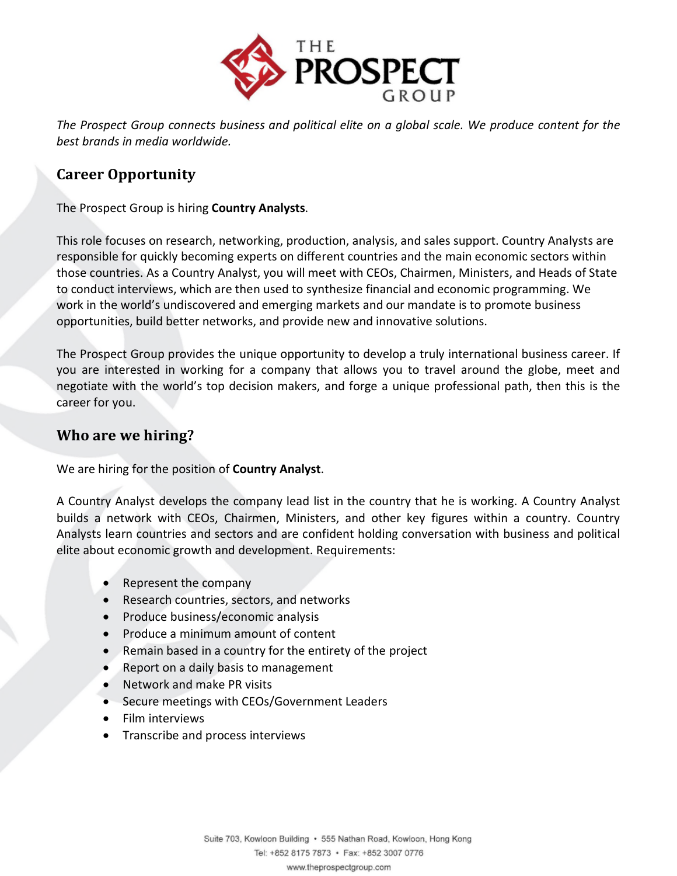

*The Prospect Group connects business and political elite on a global scale. We produce content for the best brands in media worldwide.* 

### Career Opportunity

The Prospect Group is hiring Country Analysts.

This role focuses on research, networking, production, analysis, and sales support. Country Analysts are responsible for quickly becoming experts on different countries and the main economic sectors within those countries. As a Country Analyst, you will meet with CEOs, Chairmen, Ministers, and Heads of State to conduct interviews, which are then used to synthesize financial and economic programming. We work in the world's undiscovered and emerging markets and our mandate is to promote business opportunities, build better networks, and provide new and innovative solutions.

The Prospect Group provides the unique opportunity to develop a truly international business career. If you are interested in working for a company that allows you to travel around the globe, meet and negotiate with the world's top decision makers, and forge a unique professional path, then this is the career for you.

#### Who are we hiring?

We are hiring for the position of **Country Analyst**.

A Country Analyst develops the company lead list in the country that he is working. A Country Analyst builds a network with CEOs, Chairmen, Ministers, and other key figures within a country. Country Analysts learn countries and sectors and are confident holding conversation with business and political elite about economic growth and development. Requirements:

- Represent the company
- Research countries, sectors, and networks
- Produce business/economic analysis
- Produce a minimum amount of content
- Remain based in a country for the entirety of the project
- Report on a daily basis to management
- Network and make PR visits
- Secure meetings with CEOs/Government Leaders
- Film interviews
- Transcribe and process interviews